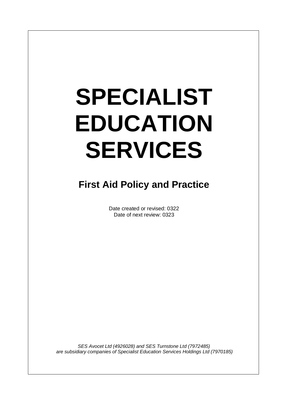# **SPECIALIST EDUCATION SERVICES**

# **First Aid Policy and Practice**

Date created or revised: 0322 Date of next review: 0323

*SES Avocet Ltd (4926028) and SES Turnstone Ltd (7972485) are subsidiary companies of Specialist Education Services Holdings Ltd (7970185)*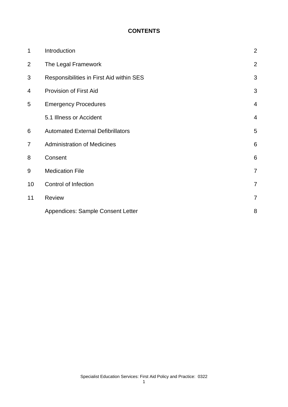#### **CONTENTS**

| $\mathbf 1$    | Introduction                             | $\overline{2}$  |
|----------------|------------------------------------------|-----------------|
| $\overline{2}$ | The Legal Framework                      | $\overline{2}$  |
| 3              | Responsibilities in First Aid within SES | 3               |
| 4              | <b>Provision of First Aid</b>            | 3               |
| 5              | <b>Emergency Procedures</b>              | $\overline{4}$  |
|                | 5.1 Illness or Accident                  | $\overline{4}$  |
| 6              | <b>Automated External Defibrillators</b> | 5               |
| 7              | <b>Administration of Medicines</b>       | $6\phantom{1}6$ |
| 8              | Consent                                  | 6               |
| 9              | <b>Medication File</b>                   | $\overline{7}$  |
| 10             | Control of Infection                     | 7               |
| 11             | Review                                   | 7               |
|                | <b>Appendices: Sample Consent Letter</b> | 8               |

1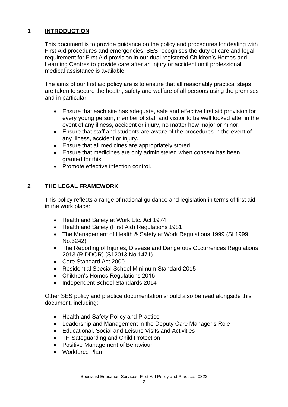### **1 INTRODUCTION**

This document is to provide guidance on the policy and procedures for dealing with First Aid procedures and emergencies. SES recognises the duty of care and legal requirement for First Aid provision in our dual registered Children's Homes and Learning Centres to provide care after an injury or accident until professional medical assistance is available.

The aims of our first aid policy are is to ensure that all reasonably practical steps are taken to secure the health, safety and welfare of all persons using the premises and in particular:

- Ensure that each site has adequate, safe and effective first aid provision for every young person, member of staff and visitor to be well looked after in the event of any illness, accident or injury, no matter how major or minor.
- Ensure that staff and students are aware of the procedures in the event of any illness, accident or injury.
- Ensure that all medicines are appropriately stored.
- Ensure that medicines are only administered when consent has been granted for this.
- Promote effective infection control.

# **2 THE LEGAL FRAMEWORK**

This policy reflects a range of national guidance and legislation in terms of first aid in the work place:

- Health and Safety at Work Etc. Act 1974
- Health and Safety (First Aid) Regulations 1981
- The Management of Health & Safety at Work Regulations 1999 (SI 1999 No.3242)
- The Reporting of Injuries, Disease and Dangerous Occurrences Regulations 2013 (RIDDOR) (S12013 No.1471)
- Care Standard Act 2000
- Residential Special School Minimum Standard 2015
- Children's Homes Regulations 2015
- Independent School Standards 2014

Other SES policy and practice documentation should also be read alongside this document, including:

- Health and Safety Policy and Practice
- Leadership and Management in the Deputy Care Manager's Role
- Educational, Social and Leisure Visits and Activities
- TH Safeguarding and Child Protection
- Positive Management of Behaviour
- Workforce Plan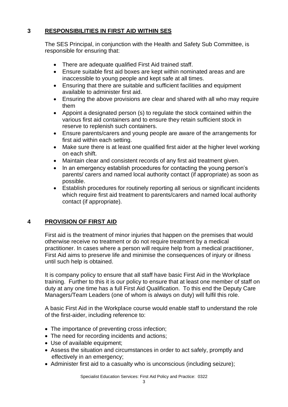## **3 RESPONSIBILITIES IN FIRST AID WITHIN SES**

The SES Principal, in conjunction with the Health and Safety Sub Committee, is responsible for ensuring that:

- There are adequate qualified First Aid trained staff.
- Ensure suitable first aid boxes are kept within nominated areas and are inaccessible to young people and kept safe at all times.
- Ensuring that there are suitable and sufficient facilities and equipment available to administer first aid.
- Ensuring the above provisions are clear and shared with all who may require them
- Appoint a designated person (s) to regulate the stock contained within the various first aid containers and to ensure they retain sufficient stock in reserve to replenish such containers.
- Ensure parents/carers and young people are aware of the arrangements for first aid within each setting.
- Make sure there is at least one qualified first aider at the higher level working on each shift.
- Maintain clear and consistent records of any first aid treatment given.
- In an emergency establish procedures for contacting the young person's parents/ carers and named local authority contact (if appropriate) as soon as possible.
- Establish procedures for routinely reporting all serious or significant incidents which require first aid treatment to parents/carers and named local authority contact (if appropriate).

# **4 PROVISION OF FIRST AID**

First aid is the treatment of minor injuries that happen on the premises that would otherwise receive no treatment or do not require treatment by a medical practitioner. In cases where a person will require help from a medical practitioner, First Aid aims to preserve life and minimise the consequences of injury or illness until such help is obtained.

It is company policy to ensure that all staff have basic First Aid in the Workplace training. Further to this it is our policy to ensure that at least one member of staff on duty at any one time has a full First Aid Qualification. To this end the Deputy Care Managers/Team Leaders (one of whom is always on duty) will fulfil this role.

A basic First Aid in the Workplace course would enable staff to understand the role of the first-aider, including reference to:

- The importance of preventing cross infection;
- The need for recording incidents and actions;
- Use of available equipment;
- Assess the situation and circumstances in order to act safely, promptly and effectively in an emergency;
- Administer first aid to a casualty who is unconscious (including seizure);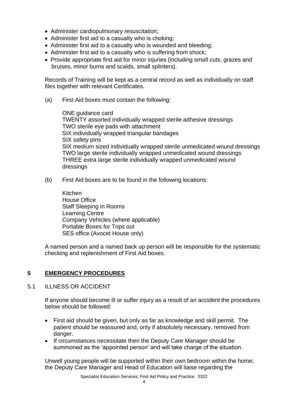- Administer cardiopulmonary resuscitation;
- Administer first aid to a casualty who is choking;
- Administer first aid to a casualty who is wounded and bleeding;
- Administer first aid to a casualty who is suffering from shock:
- Provide appropriate first aid for minor injuries (including small cuts, grazes and bruises, minor burns and scalds, small splinters).

Records of Training will be kept as a central record as well as individually on staff files together with relevant Certificates.

(a) First Aid boxes must contain the following:

ONE guidance card TWENTY assorted individually wrapped sterile adhesive dressings TWO sterile eye pads with attachment SIX individually wrapped triangular bandages SIX safety pins SIX medium sized individually wrapped sterile unmedicated wound dressings TWO large sterile individually wrapped unmedicated wound dressings THREE extra large sterile individually wrapped unmedicated wound dressings

(b) First Aid boxes are to be found in the following locations:

Kitchen House Office Staff Sleeping in Rooms Learning Centre Company Vehicles (where applicable) Portable Boxes for Trips out SES office (Avocet House only)

A named person and a named back up person will be responsible for the systematic checking and replenishment of First Aid boxes.

#### **5 EMERGENCY PROCEDURES**

5.1 ILLNESS OR ACCIDENT

If anyone should become ill or suffer injury as a result of an accident the procedures below should be followed:

- First aid should be given, but only as far as knowledge and skill permit. The patient should be reassured and, only if absolutely necessary, removed from danger.
- If circumstances necessitate then the Deputy Care Manager should be summoned as the 'appointed person' and will take charge of the situation.

Unwell young people will be supported within their own bedroom within the home; the Deputy Care Manager and Head of Education will liaise regarding the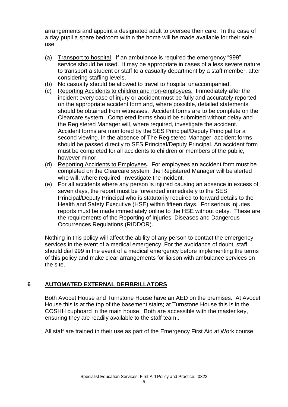arrangements and appoint a designated adult to oversee their care. In the case of a day pupil a spare bedroom within the home will be made available for their sole use.

- (a) Transport to hospital. If an ambulance is required the emergency "999" service should be used. It may be appropriate in cases of a less severe nature to transport a student or staff to a casualty department by a staff member, after considering staffing levels.
- (b) No casualty should be allowed to travel to hospital unaccompanied.
- (c) Reporting Accidents to children and non-employees. Immediately after the incident every case of injury or accident must be fully and accurately reported on the appropriate accident form and, where possible, detailed statements should be obtained from witnesses. Accident forms are to be complete on the Clearcare system. Completed forms should be submitted without delay and the Registered Manager will, where required, investigate the accident. Accident forms are monitored by the SES Principal/Deputy Principal for a second viewing. In the absence of The Registered Manager, accident forms should be passed directly to SES Principal/Deputy Principal. An accident form must be completed for all accidents to children or members of the public, however minor.
- (d) Reporting Accidents to Employees. For employees an accident form must be completed on the Clearcare system; the Registered Manager will be alerted who will, where required, investigate the incident.
- (e) For all accidents where any person is injured causing an absence in excess of seven days, the report must be forwarded immediately to the SES Principal/Deputy Principal who is statutorily required to forward details to the Health and Safety Executive (HSE) within fifteen days. For serious injuries reports must be made immediately online to the HSE without delay. These are the requirements of the Reporting of Injuries, Diseases and Dangerous Occurrences Regulations (RIDDOR).

Nothing in this policy will affect the ability of any person to contact the emergency services in the event of a medical emergency. For the avoidance of doubt, staff should dial 999 in the event of a medical emergency before implementing the terms of this policy and make clear arrangements for liaison with ambulance services on the site.

#### **6 AUTOMATED EXTERNAL DEFIBRILLATORS**

Both Avocet House and Turnstone House have an AED on the premises. At Avocet House this is at the top of the basement stairs; at Turnstone House this is in the COSHH cupboard in the main house. Both are accessible with the master key, ensuring they are readily available to the staff team..

All staff are trained in their use as part of the Emergency First Aid at Work course.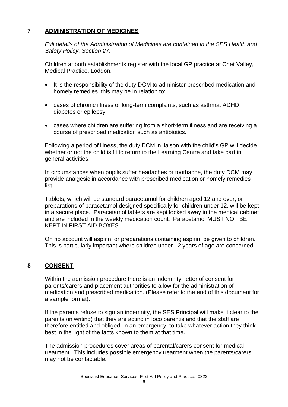#### **7 ADMINISTRATION OF MEDICINES**

*Full details of the Administration of Medicines are contained in the SES Health and Safety Policy, Section 27.*

Children at both establishments register with the local GP practice at Chet Valley, Medical Practice, Loddon.

- It is the responsibility of the duty DCM to administer prescribed medication and homely remedies, this may be in relation to:
- cases of chronic illness or long-term complaints, such as asthma, ADHD, diabetes or epilepsy.
- cases where children are suffering from a short-term illness and are receiving a course of prescribed medication such as antibiotics.

Following a period of illness, the duty DCM in liaison with the child's GP will decide whether or not the child is fit to return to the Learning Centre and take part in general activities.

In circumstances when pupils suffer headaches or toothache, the duty DCM may provide analgesic in accordance with prescribed medication or homely remedies list.

Tablets, which will be standard paracetamol for children aged 12 and over, or preparations of paracetamol designed specifically for children under 12, will be kept in a secure place. Paracetamol tablets are kept locked away in the medical cabinet and are included in the weekly medication count. Paracetamol MUST NOT BE KEPT IN FIRST AID BOXES

On no account will aspirin, or preparations containing aspirin, be given to children. This is particularly important where children under 12 years of age are concerned.

#### **8 CONSENT**

Within the admission procedure there is an indemnity, letter of consent for parents/carers and placement authorities to allow for the administration of medication and prescribed medication. (Please refer to the end of this document for a sample format).

If the parents refuse to sign an indemnity, the SES Principal will make it clear to the parents (in writing) that they are acting in loco parentis and that the staff are therefore entitled and obliged, in an emergency, to take whatever action they think best in the light of the facts known to them at that time.

The admission procedures cover areas of parental/carers consent for medical treatment. This includes possible emergency treatment when the parents/carers may not be contactable.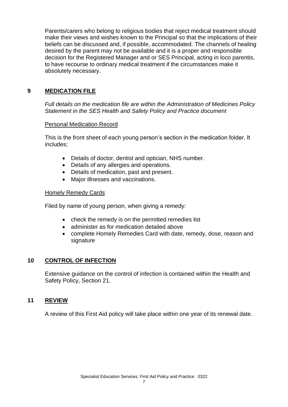Parents/carers who belong to religious bodies that reject medical treatment should make their views and wishes known to the Principal so that the implications of their beliefs can be discussed and, if possible, accommodated. The channels of healing desired by the parent may not be available and it is a proper and responsible decision for the Registered Manager and or SES Principal, acting in loco parentis, to have recourse to ordinary medical treatment if the circumstances make it absolutely necessary.

## **9 MEDICATION FILE**

*Full details on the medication file are within the Administration of Medicines Policy Statement in the SES Health and Safety Policy and Practice document*

#### Personal Medication Record

This is the front sheet of each young person's section in the medication folder. It includes;

- Details of doctor, dentist and optician, NHS number.
- Details of any allergies and operations.
- Details of medication, past and present.
- Major illnesses and vaccinations.

#### Homely Remedy Cards

Filed by name of young person, when giving a remedy:

- check the remedy is on the permitted remedies list
- administer as for medication detailed above
- complete Homely Remedies Card with date, remedy, dose, reason and signature

#### **10 CONTROL OF INFECTION**

Extensive guidance on the control of infection is contained within the Health and Safety Policy, Section 21.

#### **11 REVIEW**

A review of this First Aid policy will take place within one year of its renewal date.